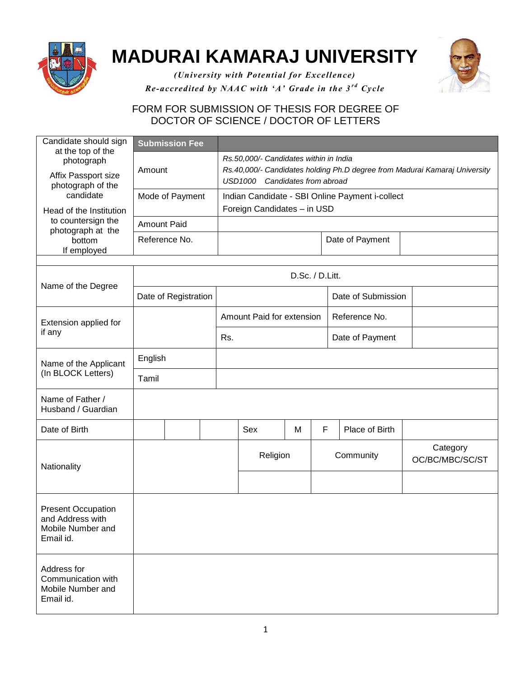

## **MADURAI KAMARAJ UNIVERSITY**



*(University with Potential for Excellence) Re-accredited by NAAC with 'A' Grade in the 3<sup>rd</sup> Cycle* 

## FORM FOR SUBMISSION OF THESIS FOR DEGREE OF DOCTOR OF SCIENCE / DOCTOR OF LETTERS

| Candidate should sign<br>at the top of the                                      |                      | <b>Submission Fee</b> |  |                                                                                                                                                        |   |   |                    |                             |  |  |
|---------------------------------------------------------------------------------|----------------------|-----------------------|--|--------------------------------------------------------------------------------------------------------------------------------------------------------|---|---|--------------------|-----------------------------|--|--|
| photograph<br>Affix Passport size<br>photograph of the                          | Amount               |                       |  | Rs.50,000/- Candidates within in India<br>Rs.40,000/- Candidates holding Ph.D degree from Madurai Kamaraj University<br>USD1000 Candidates from abroad |   |   |                    |                             |  |  |
| candidate                                                                       | Mode of Payment      |                       |  | Indian Candidate - SBI Online Payment i-collect                                                                                                        |   |   |                    |                             |  |  |
| Head of the Institution<br>to countersign the<br>photograph at the              |                      |                       |  | Foreign Candidates - in USD                                                                                                                            |   |   |                    |                             |  |  |
|                                                                                 | <b>Amount Paid</b>   |                       |  |                                                                                                                                                        |   |   |                    |                             |  |  |
| bottom<br>If employed                                                           | Reference No.        |                       |  |                                                                                                                                                        |   |   | Date of Payment    |                             |  |  |
|                                                                                 |                      |                       |  |                                                                                                                                                        |   |   |                    |                             |  |  |
| Name of the Degree                                                              | D.Sc. / D.Litt.      |                       |  |                                                                                                                                                        |   |   |                    |                             |  |  |
|                                                                                 | Date of Registration |                       |  |                                                                                                                                                        |   |   | Date of Submission |                             |  |  |
| Extension applied for<br>if any                                                 |                      |                       |  | Amount Paid for extension                                                                                                                              |   |   | Reference No.      |                             |  |  |
|                                                                                 |                      |                       |  | Rs.                                                                                                                                                    |   |   | Date of Payment    |                             |  |  |
| Name of the Applicant<br>(In BLOCK Letters)                                     | English              |                       |  |                                                                                                                                                        |   |   |                    |                             |  |  |
|                                                                                 | Tamil                |                       |  |                                                                                                                                                        |   |   |                    |                             |  |  |
| Name of Father /<br>Husband / Guardian                                          |                      |                       |  |                                                                                                                                                        |   |   |                    |                             |  |  |
| Date of Birth                                                                   |                      |                       |  | Sex                                                                                                                                                    | M | F | Place of Birth     |                             |  |  |
| Nationality                                                                     |                      |                       |  | Religion                                                                                                                                               |   |   | Community          | Category<br>OC/BC/MBC/SC/ST |  |  |
|                                                                                 |                      |                       |  |                                                                                                                                                        |   |   |                    |                             |  |  |
| <b>Present Occupation</b><br>and Address with<br>Mobile Number and<br>Email id. |                      |                       |  |                                                                                                                                                        |   |   |                    |                             |  |  |
| Address for<br>Communication with<br>Mobile Number and<br>Email id.             |                      |                       |  |                                                                                                                                                        |   |   |                    |                             |  |  |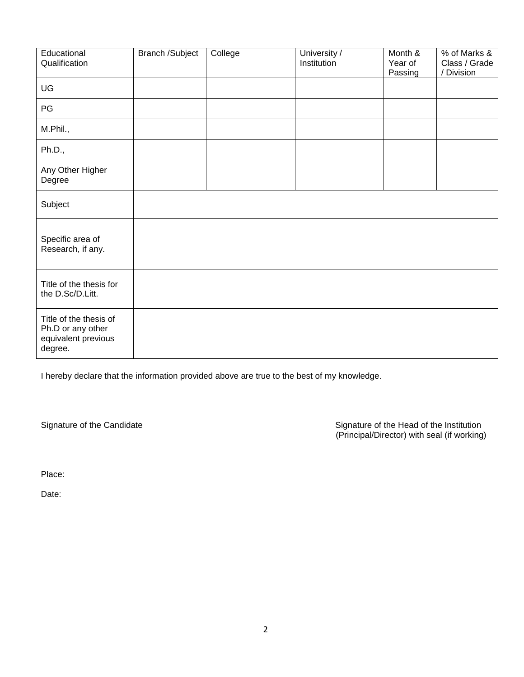| Educational<br>Qualification                                                  | Branch /Subject | College | University /<br>Institution | Month &<br>Year of<br>Passing | % of Marks &<br>Class / Grade<br>/ Division |
|-------------------------------------------------------------------------------|-----------------|---------|-----------------------------|-------------------------------|---------------------------------------------|
| UG                                                                            |                 |         |                             |                               |                                             |
| PG                                                                            |                 |         |                             |                               |                                             |
| M.Phil.,                                                                      |                 |         |                             |                               |                                             |
| Ph.D.,                                                                        |                 |         |                             |                               |                                             |
| Any Other Higher<br>Degree                                                    |                 |         |                             |                               |                                             |
| Subject                                                                       |                 |         |                             |                               |                                             |
| Specific area of<br>Research, if any.                                         |                 |         |                             |                               |                                             |
| Title of the thesis for<br>the D.Sc/D.Litt.                                   |                 |         |                             |                               |                                             |
| Title of the thesis of<br>Ph.D or any other<br>equivalent previous<br>degree. |                 |         |                             |                               |                                             |

I hereby declare that the information provided above are true to the best of my knowledge.

Signature of the Candidate **Signature of the Head of the Institution** (Principal/Director) with seal (if working)

Place:

Date: